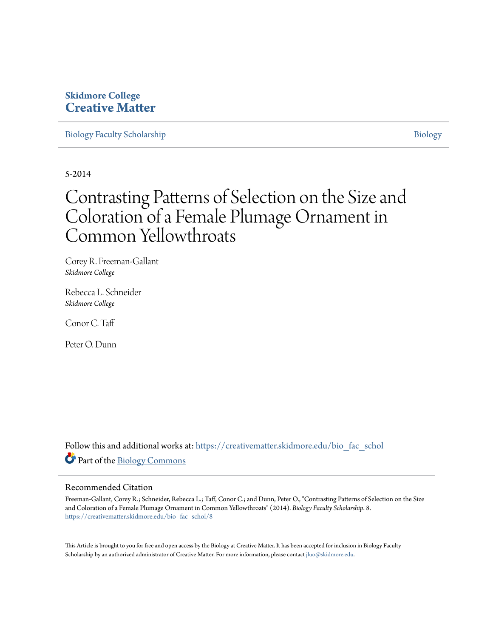## **Skidmore College [Creative Matter](https://creativematter.skidmore.edu?utm_source=creativematter.skidmore.edu%2Fbio_fac_schol%2F8&utm_medium=PDF&utm_campaign=PDFCoverPages)**

[Biology Faculty Scholarship](https://creativematter.skidmore.edu/bio_fac_schol?utm_source=creativematter.skidmore.edu%2Fbio_fac_schol%2F8&utm_medium=PDF&utm_campaign=PDFCoverPages) and the state of the state of the [Biology](https://creativematter.skidmore.edu/biology?utm_source=creativematter.skidmore.edu%2Fbio_fac_schol%2F8&utm_medium=PDF&utm_campaign=PDFCoverPages) Biology Biology

5-2014

## Contrasting Patterns of Selection on the Size and Coloration of a Female Plumage Ornament in Common Yellowthroats

Corey R. Freeman-Gallant *Skidmore College*

Rebecca L. Schneider *Skidmore College*

Conor C. Taff

Peter O. Dunn

Follow this and additional works at: [https://creativematter.skidmore.edu/bio\\_fac\\_schol](https://creativematter.skidmore.edu/bio_fac_schol?utm_source=creativematter.skidmore.edu%2Fbio_fac_schol%2F8&utm_medium=PDF&utm_campaign=PDFCoverPages) Part of the [Biology Commons](http://network.bepress.com/hgg/discipline/41?utm_source=creativematter.skidmore.edu%2Fbio_fac_schol%2F8&utm_medium=PDF&utm_campaign=PDFCoverPages)

### Recommended Citation

Freeman-Gallant, Corey R.; Schneider, Rebecca L.; Taff, Conor C.; and Dunn, Peter O., "Contrasting Patterns of Selection on the Size and Coloration of a Female Plumage Ornament in Common Yellowthroats" (2014). *Biology Faculty Scholarship*. 8. [https://creativematter.skidmore.edu/bio\\_fac\\_schol/8](https://creativematter.skidmore.edu/bio_fac_schol/8?utm_source=creativematter.skidmore.edu%2Fbio_fac_schol%2F8&utm_medium=PDF&utm_campaign=PDFCoverPages)

This Article is brought to you for free and open access by the Biology at Creative Matter. It has been accepted for inclusion in Biology Faculty Scholarship by an authorized administrator of Creative Matter. For more information, please contact [jluo@skidmore.edu](mailto:jluo@skidmore.edu).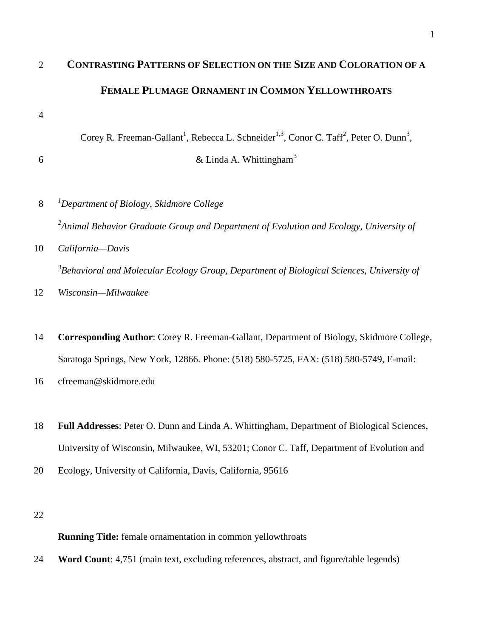# **CONTRASTING PATTERNS OF SELECTION ON THE SIZE AND COLORATION OF A FEMALE PLUMAGE ORNAMENT IN COMMON YELLOWTHROATS**

Corey R. Freeman-Gallant<sup>1</sup>, Rebecca L. Schneider<sup>1,3</sup>, Conor C. Taff<sup>2</sup>, Peter O. Dunn<sup>3</sup>,

6  $\&$  Linda A. Whittingham<sup>3</sup>

- *<sup>1</sup> Department of Biology, Skidmore College Animal Behavior Graduate Group and Department of Evolution and Ecology, University of California—Davis Behavioral and Molecular Ecology Group, Department of Biological Sciences, University of*
- *Wisconsin—Milwaukee*
- **Corresponding Author**: Corey R. Freeman-Gallant, Department of Biology, Skidmore College, Saratoga Springs, New York, 12866. Phone: (518) 580-5725, FAX: (518) 580-5749, E-mail:
- cfreeman@skidmore.edu
- **Full Addresses**: Peter O. Dunn and Linda A. Whittingham, Department of Biological Sciences, University of Wisconsin, Milwaukee, WI, 53201; Conor C. Taff, Department of Evolution and
- Ecology, University of California, Davis, California, 95616
- 

## **Running Title:** female ornamentation in common yellowthroats

**Word Count**: 4,751 (main text, excluding references, abstract, and figure/table legends)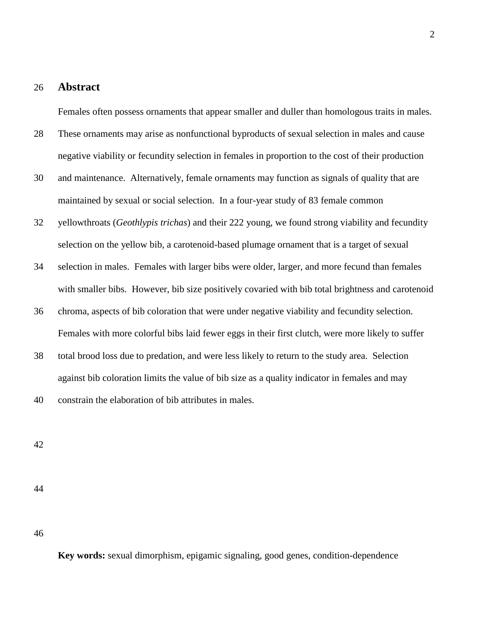## 26 **Abstract**

Females often possess ornaments that appear smaller and duller than homologous traits in males.

- 28 These ornaments may arise as nonfunctional byproducts of sexual selection in males and cause negative viability or fecundity selection in females in proportion to the cost of their production
- 30 and maintenance. Alternatively, female ornaments may function as signals of quality that are maintained by sexual or social selection. In a four-year study of 83 female common
- 32 yellowthroats (*Geothlypis trichas*) and their 222 young, we found strong viability and fecundity selection on the yellow bib, a carotenoid-based plumage ornament that is a target of sexual
- 34 selection in males. Females with larger bibs were older, larger, and more fecund than females with smaller bibs. However, bib size positively covaried with bib total brightness and carotenoid
- 36 chroma, aspects of bib coloration that were under negative viability and fecundity selection. Females with more colorful bibs laid fewer eggs in their first clutch, were more likely to suffer
- 38 total brood loss due to predation, and were less likely to return to the study area. Selection against bib coloration limits the value of bib size as a quality indicator in females and may

40 constrain the elaboration of bib attributes in males.

42

44

46

**Key words:** sexual dimorphism, epigamic signaling, good genes, condition-dependence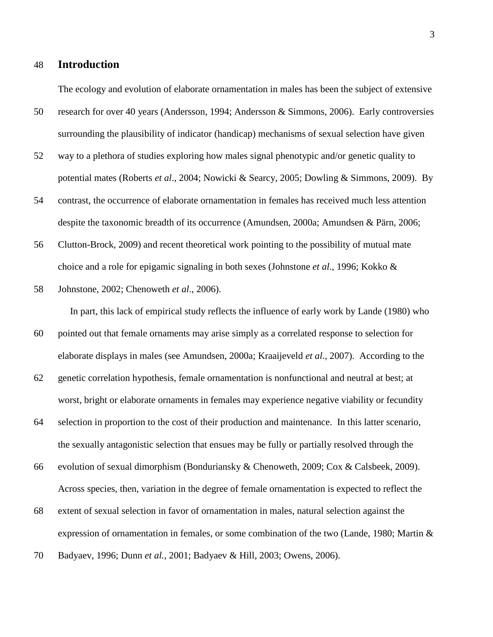## 48 **Introduction**

The ecology and evolution of elaborate ornamentation in males has been the subject of extensive

- 50 research for over 40 years (Andersson, 1994; Andersson & Simmons, 2006). Early controversies surrounding the plausibility of indicator (handicap) mechanisms of sexual selection have given
- 52 way to a plethora of studies exploring how males signal phenotypic and/or genetic quality to potential mates (Roberts *et al*., 2004; Nowicki & Searcy, 2005; Dowling & Simmons, 2009). By
- 54 contrast, the occurrence of elaborate ornamentation in females has received much less attention despite the taxonomic breadth of its occurrence (Amundsen, 2000a; Amundsen & Pärn, 2006;
- 56 Clutton-Brock, 2009) and recent theoretical work pointing to the possibility of mutual mate choice and a role for epigamic signaling in both sexes (Johnstone *et al*., 1996; Kokko &
- 58 Johnstone, 2002; Chenoweth *et al*., 2006).

In part, this lack of empirical study reflects the influence of early work by Lande (1980) who

- 60 pointed out that female ornaments may arise simply as a correlated response to selection for elaborate displays in males (see Amundsen, 2000a; Kraaijeveld *et al*., 2007). According to the
- 62 genetic correlation hypothesis, female ornamentation is nonfunctional and neutral at best; at worst, bright or elaborate ornaments in females may experience negative viability or fecundity
- 64 selection in proportion to the cost of their production and maintenance. In this latter scenario, the sexually antagonistic selection that ensues may be fully or partially resolved through the
- 66 evolution of sexual dimorphism (Bonduriansky & Chenoweth, 2009; Cox & Calsbeek, 2009). Across species, then, variation in the degree of female ornamentation is expected to reflect the
- 68 extent of sexual selection in favor of ornamentation in males, natural selection against the expression of ornamentation in females, or some combination of the two (Lande, 1980; Martin &
- 70 Badyaev, 1996; Dunn *et al.*, 2001; Badyaev & Hill, 2003; Owens, 2006).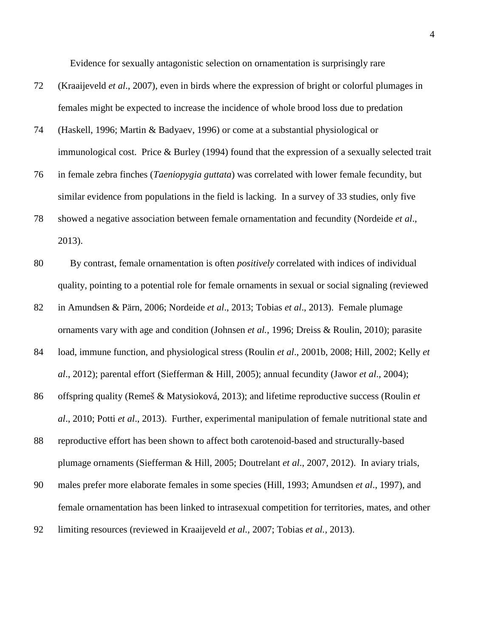Evidence for sexually antagonistic selection on ornamentation is surprisingly rare

- 72 (Kraaijeveld *et al*., 2007), even in birds where the expression of bright or colorful plumages in females might be expected to increase the incidence of whole brood loss due to predation
- 74 (Haskell, 1996; Martin & Badyaev, 1996) or come at a substantial physiological or immunological cost. Price & Burley (1994) found that the expression of a sexually selected trait
- 76 in female zebra finches (*Taeniopygia guttata*) was correlated with lower female fecundity, but similar evidence from populations in the field is lacking. In a survey of 33 studies, only five
- 78 showed a negative association between female ornamentation and fecundity (Nordeide *et al*., 2013).
- 80 By contrast, female ornamentation is often *positively* correlated with indices of individual quality, pointing to a potential role for female ornaments in sexual or social signaling (reviewed
- 82 in Amundsen & Pärn, 2006; Nordeide *et al*., 2013; Tobias *et al*., 2013). Female plumage ornaments vary with age and condition (Johnsen *et al.*, 1996; Dreiss & Roulin, 2010); parasite
- 84 load, immune function, and physiological stress (Roulin *et al*., 2001b, 2008; Hill, 2002; Kelly *et al*., 2012); parental effort (Siefferman & Hill, 2005); annual fecundity (Jawor *et al*., 2004);
- 86 offspring quality (Remeš & Matysioková, 2013); and lifetime reproductive success (Roulin *et al*., 2010; Potti *et al*., 2013). Further, experimental manipulation of female nutritional state and
- 88 reproductive effort has been shown to affect both carotenoid-based and structurally-based plumage ornaments (Siefferman & Hill, 2005; Doutrelant *et al*., 2007, 2012). In aviary trials,
- 90 males prefer more elaborate females in some species (Hill, 1993; Amundsen *et al*., 1997), and female ornamentation has been linked to intrasexual competition for territories, mates, and other
- 92 limiting resources (reviewed in Kraaijeveld *et al.,* 2007; Tobias *et al.,* 2013).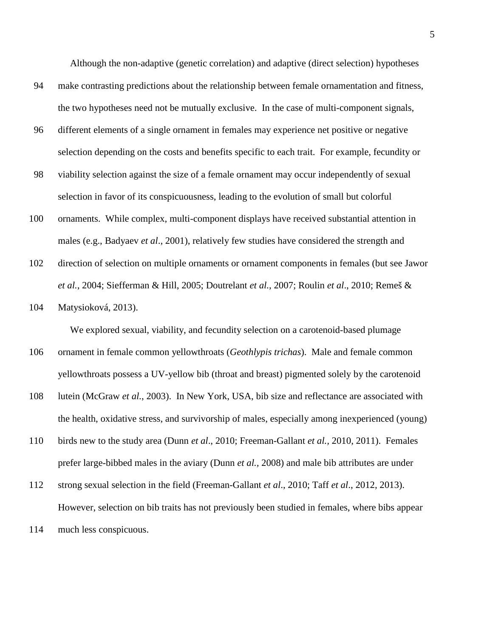Although the non-adaptive (genetic correlation) and adaptive (direct selection) hypotheses

- 94 make contrasting predictions about the relationship between female ornamentation and fitness, the two hypotheses need not be mutually exclusive. In the case of multi-component signals,
- 96 different elements of a single ornament in females may experience net positive or negative selection depending on the costs and benefits specific to each trait. For example, fecundity or
- 98 viability selection against the size of a female ornament may occur independently of sexual selection in favor of its conspicuousness, leading to the evolution of small but colorful
- 100 ornaments. While complex, multi-component displays have received substantial attention in males (e.g., Badyaev *et al*., 2001), relatively few studies have considered the strength and
- 102 direction of selection on multiple ornaments or ornament components in females (but see Jawor *et al.*, 2004; Siefferman & Hill, 2005; Doutrelant *et al.*, 2007; Roulin *et al*., 2010; Remeš &
- 104 Matysioková, 2013).

We explored sexual, viability, and fecundity selection on a carotenoid-based plumage

- 106 ornament in female common yellowthroats (*Geothlypis trichas*). Male and female common yellowthroats possess a UV-yellow bib (throat and breast) pigmented solely by the carotenoid
- 108 lutein (McGraw *et al.*, 2003). In New York, USA, bib size and reflectance are associated with the health, oxidative stress, and survivorship of males, especially among inexperienced (young)
- 110 birds new to the study area (Dunn *et al*., 2010; Freeman-Gallant *et al.,* 2010, 2011). Females prefer large-bibbed males in the aviary (Dunn *et al.,* 2008) and male bib attributes are under
- 112 strong sexual selection in the field (Freeman-Gallant *et al*., 2010; Taff *et al*., 2012, 2013). However, selection on bib traits has not previously been studied in females, where bibs appear
- 114 much less conspicuous.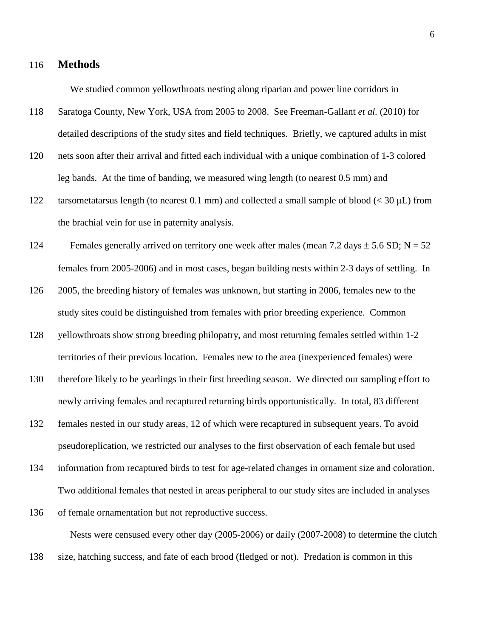#### 116 **Methods**

We studied common yellowthroats nesting along riparian and power line corridors in

- 118 Saratoga County, New York, USA from 2005 to 2008. See Freeman-Gallant *et al.* (2010) for detailed descriptions of the study sites and field techniques. Briefly, we captured adults in mist
- 120 nets soon after their arrival and fitted each individual with a unique combination of 1-3 colored leg bands. At the time of banding, we measured wing length (to nearest 0.5 mm) and
- 122 tarsometatarsus length (to nearest 0.1 mm) and collected a small sample of blood  $\ll$  30  $\mu$ L) from the brachial vein for use in paternity analysis.
- 124 Females generally arrived on territory one week after males (mean 7.2 days  $\pm$  5.6 SD; N = 52 females from 2005-2006) and in most cases, began building nests within 2-3 days of settling. In
- 126 2005, the breeding history of females was unknown, but starting in 2006, females new to the study sites could be distinguished from females with prior breeding experience. Common
- 128 yellowthroats show strong breeding philopatry, and most returning females settled within 1-2 territories of their previous location. Females new to the area (inexperienced females) were
- 130 therefore likely to be yearlings in their first breeding season. We directed our sampling effort to newly arriving females and recaptured returning birds opportunistically. In total, 83 different
- 132 females nested in our study areas, 12 of which were recaptured in subsequent years. To avoid pseudoreplication, we restricted our analyses to the first observation of each female but used
- 134 information from recaptured birds to test for age-related changes in ornament size and coloration. Two additional females that nested in areas peripheral to our study sites are included in analyses
- 136 of female ornamentation but not reproductive success. Nests were censused every other day (2005-2006) or daily (2007-2008) to determine the clutch
- 138 size, hatching success, and fate of each brood (fledged or not). Predation is common in this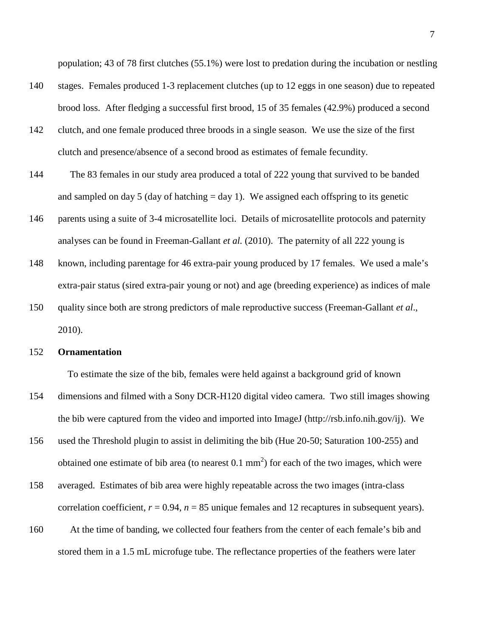population; 43 of 78 first clutches (55.1%) were lost to predation during the incubation or nestling

- 140 stages. Females produced 1-3 replacement clutches (up to 12 eggs in one season) due to repeated brood loss. After fledging a successful first brood, 15 of 35 females (42.9%) produced a second
- 142 clutch, and one female produced three broods in a single season. We use the size of the first clutch and presence/absence of a second brood as estimates of female fecundity.
- 144 The 83 females in our study area produced a total of 222 young that survived to be banded and sampled on day 5 (day of hatching  $=$  day 1). We assigned each offspring to its genetic
- 146 parents using a suite of 3-4 microsatellite loci. Details of microsatellite protocols and paternity analyses can be found in Freeman-Gallant *et al.* (2010). The paternity of all 222 young is
- 148 known, including parentage for 46 extra-pair young produced by 17 females. We used a male's extra-pair status (sired extra-pair young or not) and age (breeding experience) as indices of male
- 150 quality since both are strong predictors of male reproductive success (Freeman-Gallant *et al*., 2010).

#### 152 **Ornamentation**

To estimate the size of the bib, females were held against a background grid of known

- 154 dimensions and filmed with a Sony DCR-H120 digital video camera. Two still images showing the bib were captured from the video and imported into ImageJ (http://rsb.info.nih.gov/ij). We
- 156 used the Threshold plugin to assist in delimiting the bib (Hue 20-50; Saturation 100-255) and obtained one estimate of bib area (to nearest  $0.1 \text{ mm}^2$ ) for each of the two images, which were
- 158 averaged. Estimates of bib area were highly repeatable across the two images (intra-class correlation coefficient,  $r = 0.94$ ,  $n = 85$  unique females and 12 recaptures in subsequent years).
- 160 At the time of banding, we collected four feathers from the center of each female's bib and stored them in a 1.5 mL microfuge tube. The reflectance properties of the feathers were later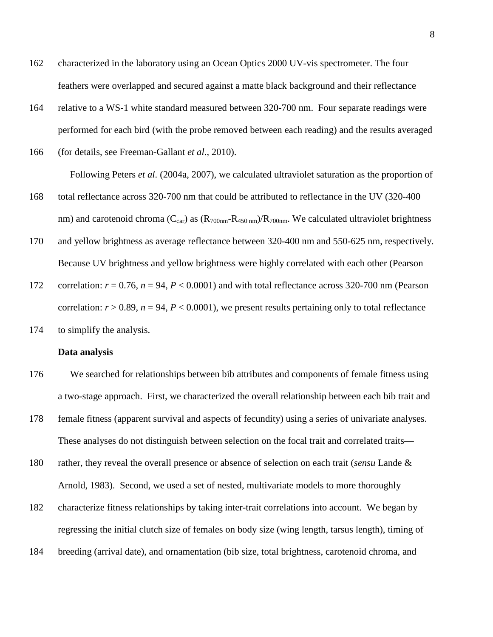- 162 characterized in the laboratory using an Ocean Optics 2000 UV-vis spectrometer. The four feathers were overlapped and secured against a matte black background and their reflectance
- 164 relative to a WS-1 white standard measured between 320-700 nm. Four separate readings were performed for each bird (with the probe removed between each reading) and the results averaged
- 166 (for details, see Freeman-Gallant *et al*., 2010). Following Peters *et al.* (2004a, 2007), we calculated ultraviolet saturation as the proportion of 168 total reflectance across 320-700 nm that could be attributed to reflectance in the UV (320-400
- nm) and carotenoid chroma ( $C_{car}$ ) as ( $R_{700nm}$ - $R_{450nm}$ )/ $R_{700nm}$ . We calculated ultraviolet brightness
- 170 and yellow brightness as average reflectance between 320-400 nm and 550-625 nm, respectively. Because UV brightness and yellow brightness were highly correlated with each other (Pearson
- 172 correlation:  $r = 0.76$ ,  $n = 94$ ,  $P < 0.0001$ ) and with total reflectance across 320-700 nm (Pearson correlation:  $r > 0.89$ ,  $n = 94$ ,  $P < 0.0001$ ), we present results pertaining only to total reflectance
- 174 to simplify the analysis.

#### **Data analysis**

- 176 We searched for relationships between bib attributes and components of female fitness using a two-stage approach. First, we characterized the overall relationship between each bib trait and
- 178 female fitness (apparent survival and aspects of fecundity) using a series of univariate analyses. These analyses do not distinguish between selection on the focal trait and correlated traits—
- 180 rather, they reveal the overall presence or absence of selection on each trait (*sensu* Lande & Arnold, 1983). Second, we used a set of nested, multivariate models to more thoroughly
- 182 characterize fitness relationships by taking inter-trait correlations into account. We began by regressing the initial clutch size of females on body size (wing length, tarsus length), timing of
- 184 breeding (arrival date), and ornamentation (bib size, total brightness, carotenoid chroma, and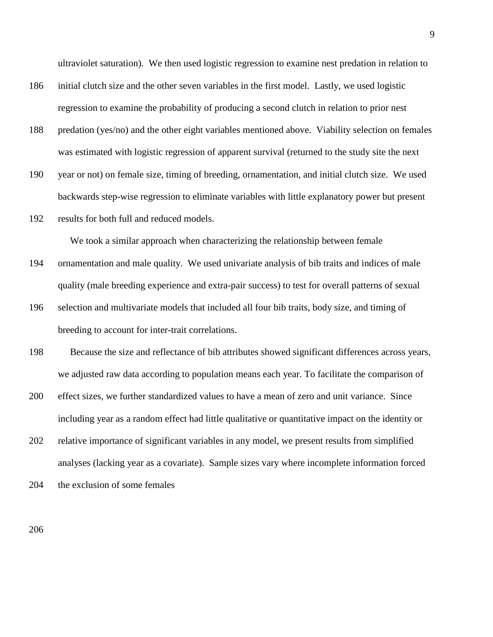ultraviolet saturation). We then used logistic regression to examine nest predation in relation to

- 186 initial clutch size and the other seven variables in the first model. Lastly, we used logistic regression to examine the probability of producing a second clutch in relation to prior nest
- 188 predation (yes/no) and the other eight variables mentioned above. Viability selection on females was estimated with logistic regression of apparent survival (returned to the study site the next
- 190 year or not) on female size, timing of breeding, ornamentation, and initial clutch size. We used backwards step-wise regression to eliminate variables with little explanatory power but present
- 192 results for both full and reduced models.

We took a similar approach when characterizing the relationship between female

- 194 ornamentation and male quality. We used univariate analysis of bib traits and indices of male quality (male breeding experience and extra-pair success) to test for overall patterns of sexual
- 196 selection and multivariate models that included all four bib traits, body size, and timing of breeding to account for inter-trait correlations.
- 198 Because the size and reflectance of bib attributes showed significant differences across years, we adjusted raw data according to population means each year. To facilitate the comparison of
- 200 effect sizes, we further standardized values to have a mean of zero and unit variance. Since including year as a random effect had little qualitative or quantitative impact on the identity or
- 202 relative importance of significant variables in any model, we present results from simplified analyses (lacking year as a covariate). Sample sizes vary where incomplete information forced
- 204 the exclusion of some females

206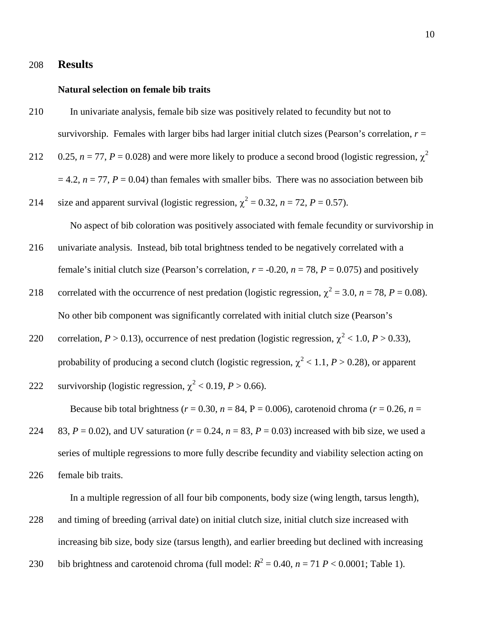## 208 **Results**

#### **Natural selection on female bib traits**

- 210 In univariate analysis, female bib size was positively related to fecundity but not to survivorship. Females with larger bibs had larger initial clutch sizes (Pearson's correlation,  $r =$
- 212 0.25,  $n = 77$ ,  $P = 0.028$ ) and were more likely to produce a second brood (logistic regression,  $\chi^2$  $= 4.2$ ,  $n = 77$ ,  $P = 0.04$ ) than females with smaller bibs. There was no association between bib
- 214 size and apparent survival (logistic regression,  $\chi^2 = 0.32$ ,  $n = 72$ ,  $P = 0.57$ ).

No aspect of bib coloration was positively associated with female fecundity or survivorship in

- 216 univariate analysis. Instead, bib total brightness tended to be negatively correlated with a female's initial clutch size (Pearson's correlation,  $r = -0.20$ ,  $n = 78$ ,  $P = 0.075$ ) and positively
- correlated with the occurrence of nest predation (logistic regression,  $\chi^2 = 3.0$ ,  $n = 78$ ,  $P = 0.08$ ). No other bib component was significantly correlated with initial clutch size (Pearson's
- correlation,  $P > 0.13$ ), occurrence of nest predation (logistic regression,  $\chi^2$  < 1.0,  $P > 0.33$ ), probability of producing a second clutch (logistic regression,  $\chi^2$  < 1.1, *P* > 0.28), or apparent

222 **survivorship (logistic regression, 
$$
\chi^2
$$
 < 0.19, *P* > 0.66).**

Because bib total brightness ( $r = 0.30$ ,  $n = 84$ ,  $P = 0.006$ ), carotenoid chroma ( $r = 0.26$ ,  $n =$ 

224 83,  $P = 0.02$ ), and UV saturation ( $r = 0.24$ ,  $n = 83$ ,  $P = 0.03$ ) increased with bib size, we used a series of multiple regressions to more fully describe fecundity and viability selection acting on 226 female bib traits.

In a multiple regression of all four bib components, body size (wing length, tarsus length),

- 228 and timing of breeding (arrival date) on initial clutch size, initial clutch size increased with increasing bib size, body size (tarsus length), and earlier breeding but declined with increasing
- 230 bib brightness and carotenoid chroma (full model:  $R^2 = 0.40$ ,  $n = 71$   $P < 0.0001$ ; Table 1).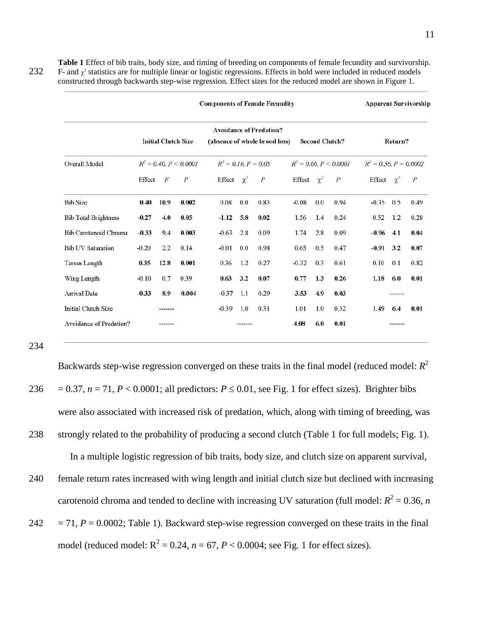**Table 1** Effect of bib traits, body size, and timing of breeding on components of female fecundity and survivorship. 232 F- and  $\chi^2$  statistics are for multiple linear or logistic regressions. Effects in bold were included in reduced models constructed through backwards step-wise regression. Effect sizes for the reduced model are shown in Figure 1.

|                             | <b>Components of Female Fecundity</b> |                            |                  |                               |         |                                |                 | <b>Apparent Survivorship</b> |                       |                 |                          |                |  |
|-----------------------------|---------------------------------------|----------------------------|------------------|-------------------------------|---------|--------------------------------|-----------------|------------------------------|-----------------------|-----------------|--------------------------|----------------|--|
|                             |                                       | <b>Initial Clutch Size</b> |                  | (absence of whole brood loss) |         | <b>Avoidance of Predation?</b> |                 |                              | <b>Second Clutch?</b> |                 | Return?                  |                |  |
| Overall Model               | $R^2 = 0.40, P \le 0.0001$            |                            |                  | $R^2 = 0.16$ , $P = 0.05$     |         |                                |                 | $R^2 = 0.66, P \le 0.0001$   |                       |                 | $R^2 = 0.36, P = 0.0002$ |                |  |
|                             | Effect                                | F                          | $\boldsymbol{P}$ | Effect $\chi^2$               |         | $\boldsymbol{P}$               | Effect $\chi^2$ |                              | $\overline{P}$        | Effect $\chi^2$ |                          | $\overline{P}$ |  |
| <b>Bib Size</b>             | 0.40                                  | 10.9                       | 0.002            | 0.08                          | 0.0     | 0.83                           | $-0.08$         | 0.0                          | 0.94                  | $-0.35$         | 0.5                      | 0.49           |  |
| <b>Bib Total Brightness</b> | $-0.27$                               | 4.0                        | 0.05             | $-1.12$                       | 5.8     | 0.02                           | 1.56            | 1.4                          | 0.24                  | 0.52            | 1.2                      | 0.28           |  |
| Bib Carotenoid Chroma       | $-0.33$                               | 9.4                        | 0.003            | $-0.63$                       | 2.8     | 0.09                           | 1.74            | 2.8                          | 0.09                  | $-0.96$         | 4.1                      | 0.04           |  |
| <b>Bib UV Saturation</b>    | $-0.20$                               | 2.2                        | 0.14             | $-0.01$                       | 0.0     | 0.98                           | 0.65            | 0.5                          | 0.47                  | $-0.91$         | 3.2                      | 0.07           |  |
| <b>Tarsus Length</b>        | 0.35                                  | 12.8                       | 0.001            | 0.36                          | 1.2     | 0.27                           | $-0.32$         | 0.3                          | 0.61                  | 0.10            | 0.1                      | 0.82           |  |
| Wing Length                 | $-0.10$                               | 0.7                        | 0.39             | 0.63                          | 3.2     | 0.07                           | 0.77            | 1.3                          | 0.26                  | 1.18            | 6.0                      | 0.01           |  |
| <b>Arrival Date</b>         | $-0.33$                               | 8.9                        | 0.004            | $-0.37$                       | 1.1     | 0.29                           | $-3.53$         | 4.9                          | 0.03                  |                 | -------                  |                |  |
| Initial Clutch Size         |                                       |                            |                  | $-0.39$                       | 1.0     | 0.31                           | 1.01            | 1.0                          | 0.32                  | 1.49            | 6.4                      | 0.01           |  |
| Avoidance of Predation?     |                                       | -------                    |                  |                               | ------- |                                | 4.08            | 6.0                          | 0.01                  |                 | -------                  |                |  |

234

Backwards step-wise regression converged on these traits in the final model (reduced model: *R*<sup>2</sup> 236 = 0.37,  $n = 71$ ,  $P < 0.0001$ ; all predictors:  $P \le 0.01$ , see Fig. 1 for effect sizes). Brighter bibs were also associated with increased risk of predation, which, along with timing of breeding, was 238 strongly related to the probability of producing a second clutch (Table 1 for full models; Fig. 1). In a multiple logistic regression of bib traits, body size, and clutch size on apparent survival,

240 female return rates increased with wing length and initial clutch size but declined with increasing carotenoid chroma and tended to decline with increasing UV saturation (full model:  $R^2 = 0.36$ , *n* 

 $242 = 71, P = 0.0002$ ; Table 1). Backward step-wise regression converged on these traits in the final model (reduced model:  $R^2 = 0.24$ ,  $n = 67$ ,  $P < 0.0004$ ; see Fig. 1 for effect sizes).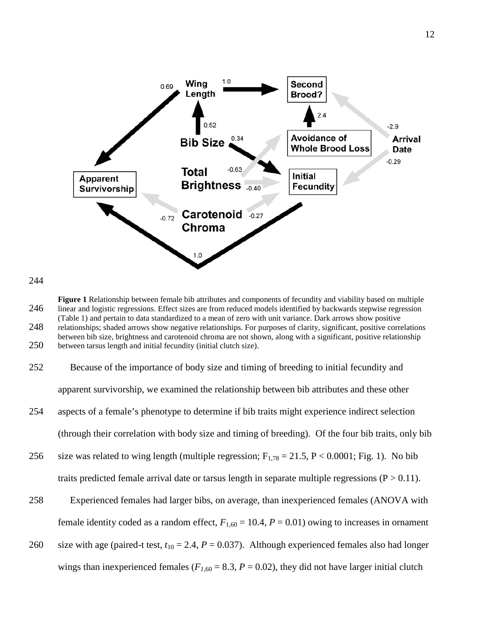



**Figure 1** Relationship between female bib attributes and components of fecundity and viability based on multiple 246 linear and logistic regressions. Effect sizes are from reduced models identified by backwards stepwise regression (Table 1) and pertain to data standardized to a mean of zero with unit variance. Dark arrows show positive 248 relationships; shaded arrows show negative relationships. For purposes of clarity, significant, positive correlations between bib size, brightness and carotenoid chroma are not shown, along with a significant, positive relationship 250 between tarsus length and initial fecundity (initial clutch size).

| 252 | Because of the importance of body size and timing of breeding to initial fecundity and                 |
|-----|--------------------------------------------------------------------------------------------------------|
|     | apparent survivorship, we examined the relationship between bib attributes and these other             |
| 254 | aspects of a female's phenotype to determine if bib traits might experience indirect selection         |
|     | (through their correlation with body size and timing of breeding). Of the four bib traits, only bib    |
| 256 | size was related to wing length (multiple regression; $F_{1.78} = 21.5$ , P < 0.0001; Fig. 1). No bib  |
|     | traits predicted female arrival date or tarsus length in separate multiple regressions ( $P > 0.11$ ). |
| 258 | Experienced females had larger bibs, on average, than inexperienced females (ANOVA with                |
|     |                                                                                                        |

260 size with age (paired-t test,  $t_{10} = 2.4$ ,  $P = 0.037$ ). Although experienced females also had longer wings than inexperienced females ( $F_{1,60} = 8.3$ ,  $P = 0.02$ ), they did not have larger initial clutch

female identity coded as a random effect,  $F_{1,60} = 10.4$ ,  $P = 0.01$ ) owing to increases in ornament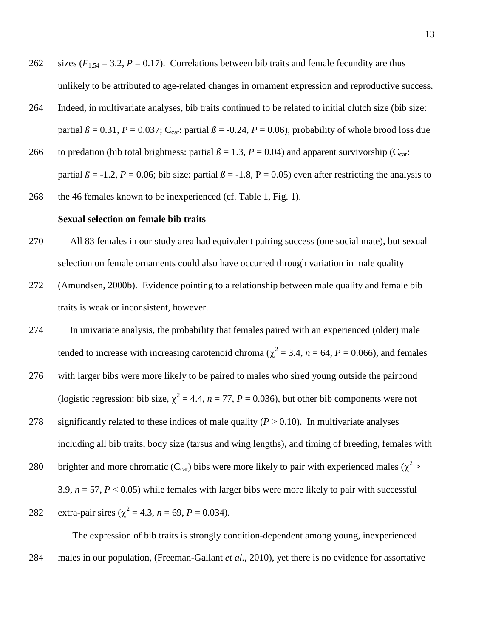- 262 sizes  $(F_{1,54} = 3.2, P = 0.17)$ . Correlations between bib traits and female fecundity are thus unlikely to be attributed to age-related changes in ornament expression and reproductive success.
- 264 Indeed, in multivariate analyses, bib traits continued to be related to initial clutch size (bib size: partial  $\beta = 0.31$ ,  $P = 0.037$ ; C<sub>car</sub>: partial  $\beta = -0.24$ ,  $P = 0.06$ ), probability of whole brood loss due
- 266 to predation (bib total brightness: partial  $\beta = 1.3$ ,  $P = 0.04$ ) and apparent survivorship (C<sub>car</sub>: partial  $\beta$  = -1.2, *P* = 0.06; bib size: partial  $\beta$  = -1.8, P = 0.05) even after restricting the analysis to
- 268 the 46 females known to be inexperienced (cf. Table 1, Fig. 1).

#### **Sexual selection on female bib traits**

- 270 All 83 females in our study area had equivalent pairing success (one social mate), but sexual selection on female ornaments could also have occurred through variation in male quality
- 272 (Amundsen, 2000b). Evidence pointing to a relationship between male quality and female bib traits is weak or inconsistent, however.
- 274 In univariate analysis, the probability that females paired with an experienced (older) male tended to increase with increasing carotenoid chroma ( $\chi^2$  = 3.4, *n* = 64, *P* = 0.066), and females
- 276 with larger bibs were more likely to be paired to males who sired young outside the pairbond (logistic regression: bib size,  $\chi^2 = 4.4$ ,  $n = 77$ ,  $P = 0.036$ ), but other bib components were not
- 278 significantly related to these indices of male quality  $(P > 0.10)$ . In multivariate analyses including all bib traits, body size (tarsus and wing lengths), and timing of breeding, females with
- 280 brighter and more chromatic ( $C_{car}$ ) bibs were more likely to pair with experienced males ( $\chi^2$ ) 3.9,  $n = 57$ ,  $P < 0.05$ ) while females with larger bibs were more likely to pair with successful

282 extra-pair sires (
$$
\chi^2 = 4.3
$$
,  $n = 69$ ,  $P = 0.034$ ).

 The expression of bib traits is strongly condition-dependent among young, inexperienced 284 males in our population, (Freeman-Gallant *et al.*, 2010), yet there is no evidence for assortative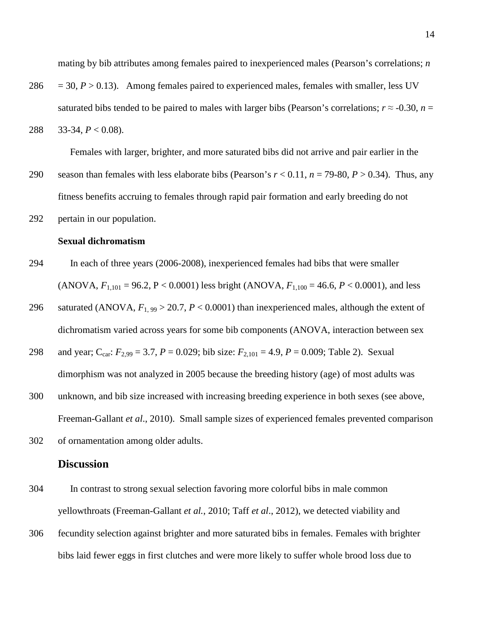mating by bib attributes among females paired to inexperienced males (Pearson's correlations; *n* 

- 286  $=$  30,  $P > 0.13$ ). Among females paired to experienced males, females with smaller, less UV saturated bibs tended to be paired to males with larger bibs (Pearson's correlations;  $r \approx -0.30$ ,  $n =$
- 288 33-34, *P* < 0.08).

Females with larger, brighter, and more saturated bibs did not arrive and pair earlier in the

- 290 season than females with less elaborate bibs (Pearson's  $r < 0.11$ ,  $n = 79-80$ ,  $P > 0.34$ ). Thus, any fitness benefits accruing to females through rapid pair formation and early breeding do not
- 292 pertain in our population.

#### **Sexual dichromatism**

- 294 In each of three years (2006-2008), inexperienced females had bibs that were smaller (ANOVA,  $F_{1,101} = 96.2$ ,  $P < 0.0001$ ) less bright (ANOVA,  $F_{1,100} = 46.6$ ,  $P < 0.0001$ ), and less
- 296 saturated (ANOVA,  $F_{1, 99} > 20.7$ ,  $P < 0.0001$ ) than inexperienced males, although the extent of dichromatism varied across years for some bib components (ANOVA, interaction between sex
- 298 and year; Ccar: *F*2,99 = 3.7, *P* = 0.029; bib size: *F*2,101 = 4.9, *P* = 0.009; Table 2). Sexual dimorphism was not analyzed in 2005 because the breeding history (age) of most adults was
- 300 unknown, and bib size increased with increasing breeding experience in both sexes (see above, Freeman-Gallant *et al*., 2010). Small sample sizes of experienced females prevented comparison
- 302 of ornamentation among older adults.

## **Discussion**

- 304 In contrast to strong sexual selection favoring more colorful bibs in male common yellowthroats (Freeman-Gallant *et al.*, 2010; Taff *et al*., 2012), we detected viability and
- 306 fecundity selection against brighter and more saturated bibs in females. Females with brighter bibs laid fewer eggs in first clutches and were more likely to suffer whole brood loss due to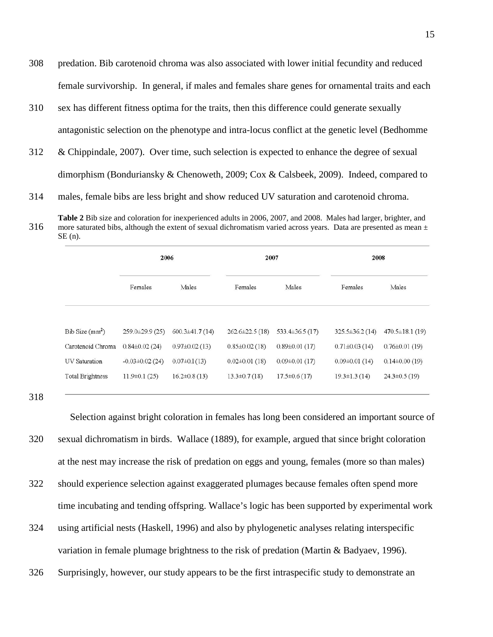- 308 predation. Bib carotenoid chroma was also associated with lower initial fecundity and reduced female survivorship. In general, if males and females share genes for ornamental traits and each
- 310 sex has different fitness optima for the traits, then this difference could generate sexually antagonistic selection on the phenotype and intra-locus conflict at the genetic level (Bedhomme
- 312 & Chippindale, 2007). Over time, such selection is expected to enhance the degree of sexual dimorphism (Bonduriansky & Chenoweth, 2009; Cox & Calsbeek, 2009). Indeed, compared to

314 males, female bibs are less bright and show reduced UV saturation and carotenoid chroma.

**Table 2** Bib size and coloration for inexperienced adults in 2006, 2007, and 2008. Males had larger, brighter, and 316 more saturated bibs, although the extent of sexual dichromatism varied across years. Data are presented as mean  $\pm$ SE (n).

|                            | 2006                                 |                      | 2007                 |                    | 2008               |                      |  |
|----------------------------|--------------------------------------|----------------------|----------------------|--------------------|--------------------|----------------------|--|
|                            | Females                              | Males                | Females              | Males              | Females            | Males                |  |
| Bib Size(mm <sup>2</sup> ) | $259.0\pm29.9(25)$                   | $600.3 \pm 41.7(14)$ | $262.6 \pm 22.5(18)$ | $533.4\pm36.5(17)$ | $325.5\pm36.2(14)$ | $470.5 \pm 18.1(19)$ |  |
| Carotenoid Chroma          | $0.84\pm0.02(24)$                    | $0.97 \pm 0.02$ (13) | $0.85 \pm 0.02$ (18) | $0.89\pm0.01(17)$  | $0.71\pm0.03(14)$  | $0.76 \pm 0.01$ (19) |  |
| UV Saturation              | $-0.03 \pm 0.02$ (24)                | $0.07 \pm 0.1$ (13)  | $0.02 \pm 0.01$ (18) | $0.09\pm0.01(17)$  | $0.09\pm0.01(14)$  | $0.14\pm0.00(19)$    |  |
| <b>Total Brightness</b>    | $11.9\pm0.1(25)$<br>$16.2\pm0.8(13)$ |                      | $13.3 \pm 0.7$ (18)  | $17.5\pm0.6(17)$   | $19.3 \pm 1.3(14)$ | $24.3 \pm 0.5$ (19)  |  |
|                            |                                      |                      |                      |                    |                    |                      |  |

318

 Selection against bright coloration in females has long been considered an important source of 320 sexual dichromatism in birds. Wallace (1889), for example, argued that since bright coloration at the nest may increase the risk of predation on eggs and young, females (more so than males) 322 should experience selection against exaggerated plumages because females often spend more time incubating and tending offspring. Wallace's logic has been supported by experimental work

- 324 using artificial nests (Haskell, 1996) and also by phylogenetic analyses relating interspecific variation in female plumage brightness to the risk of predation (Martin & Badyaev, 1996).
- 326 Surprisingly, however, our study appears to be the first intraspecific study to demonstrate an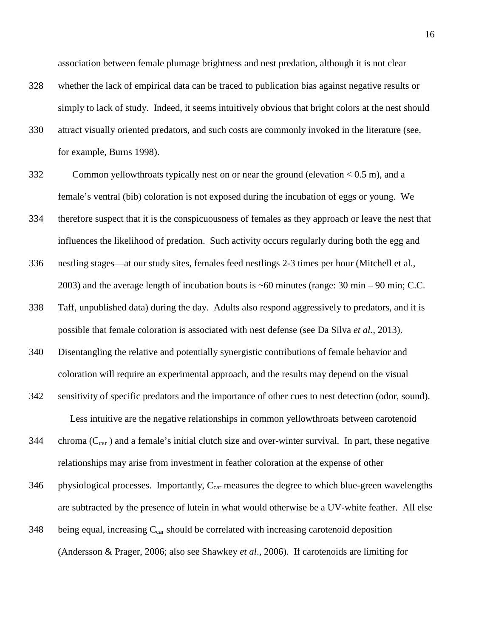association between female plumage brightness and nest predation, although it is not clear

- 328 whether the lack of empirical data can be traced to publication bias against negative results or simply to lack of study. Indeed, it seems intuitively obvious that bright colors at the nest should
- 330 attract visually oriented predators, and such costs are commonly invoked in the literature (see, for example, Burns 1998).
- 332 Common yellowthroats typically nest on or near the ground (elevation < 0.5 m), and a female's ventral (bib) coloration is not exposed during the incubation of eggs or young. We
- 334 therefore suspect that it is the conspicuousness of females as they approach or leave the nest that influences the likelihood of predation. Such activity occurs regularly during both the egg and
- 336 nestling stages—at our study sites, females feed nestlings 2-3 times per hour (Mitchell et al., 2003) and the average length of incubation bouts is ~60 minutes (range: 30 min – 90 min; C.C.
- 338 Taff, unpublished data) during the day. Adults also respond aggressively to predators, and it is possible that female coloration is associated with nest defense (see Da Silva *et al.,* 2013).
- 340 Disentangling the relative and potentially synergistic contributions of female behavior and coloration will require an experimental approach, and the results may depend on the visual
- 342 sensitivity of specific predators and the importance of other cues to nest detection (odor, sound). Less intuitive are the negative relationships in common yellowthroats between carotenoid
- 344 chroma  $(C_{car})$  and a female's initial clutch size and over-winter survival. In part, these negative relationships may arise from investment in feather coloration at the expense of other
- $346$  physiological processes. Importantly,  $C_{car}$  measures the degree to which blue-green wavelengths are subtracted by the presence of lutein in what would otherwise be a UV-white feather. All else
- $348$  being equal, increasing  $C_{car}$  should be correlated with increasing carotenoid deposition (Andersson & Prager, 2006; also see Shawkey *et al*., 2006). If carotenoids are limiting for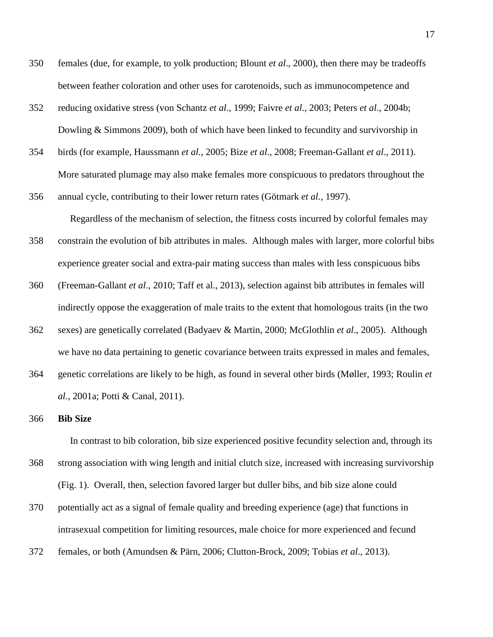- 350 females (due, for example, to yolk production; Blount *et al*., 2000), then there may be tradeoffs between feather coloration and other uses for carotenoids, such as immunocompetence and
- 352 reducing oxidative stress (von Schantz *et al*., 1999; Faivre *et al*., 2003; Peters *et al*., 2004b; Dowling & Simmons 2009), both of which have been linked to fecundity and survivorship in
- 354 birds (for example, Haussmann *et al.,* 2005; Bize *et al*., 2008; Freeman-Gallant *et al*., 2011). More saturated plumage may also make females more conspicuous to predators throughout the
- 356 annual cycle, contributing to their lower return rates (Götmark *et al.,* 1997). Regardless of the mechanism of selection, the fitness costs incurred by colorful females may
- 358 constrain the evolution of bib attributes in males. Although males with larger, more colorful bibs experience greater social and extra-pair mating success than males with less conspicuous bibs
- 360 (Freeman-Gallant *et al*., 2010; Taff et al., 2013), selection against bib attributes in females will indirectly oppose the exaggeration of male traits to the extent that homologous traits (in the two
- 362 sexes) are genetically correlated (Badyaev & Martin, 2000; McGlothlin *et al*., 2005). Although we have no data pertaining to genetic covariance between traits expressed in males and females,
- 364 genetic correlations are likely to be high, as found in several other birds (Møller, 1993; Roulin *et al.,* 2001a; Potti & Canal, 2011).

#### 366 **Bib Size**

 In contrast to bib coloration, bib size experienced positive fecundity selection and, through its 368 strong association with wing length and initial clutch size, increased with increasing survivorship (Fig. 1). Overall, then, selection favored larger but duller bibs, and bib size alone could

- 370 potentially act as a signal of female quality and breeding experience (age) that functions in intrasexual competition for limiting resources, male choice for more experienced and fecund
- 372 females, or both (Amundsen & Pärn, 2006; Clutton-Brock, 2009; Tobias *et al*., 2013).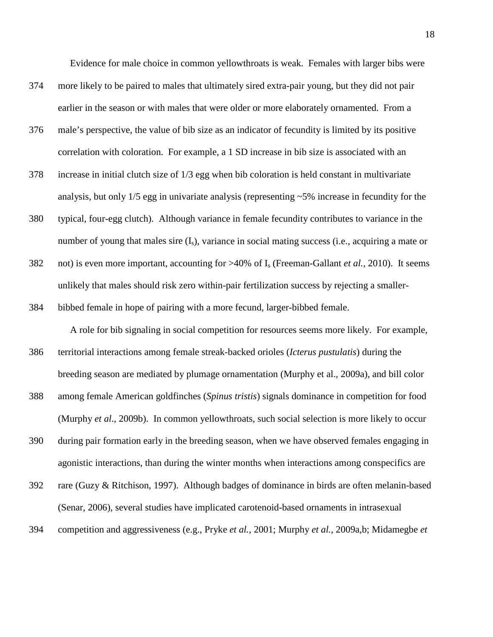Evidence for male choice in common yellowthroats is weak. Females with larger bibs were

- 374 more likely to be paired to males that ultimately sired extra-pair young, but they did not pair earlier in the season or with males that were older or more elaborately ornamented. From a
- 376 male's perspective, the value of bib size as an indicator of fecundity is limited by its positive correlation with coloration. For example, a 1 SD increase in bib size is associated with an
- 378 increase in initial clutch size of 1/3 egg when bib coloration is held constant in multivariate analysis, but only 1/5 egg in univariate analysis (representing ~5% increase in fecundity for the
- 380 typical, four-egg clutch). Although variance in female fecundity contributes to variance in the number of young that males sire  $(I_s)$ , variance in social mating success (i.e., acquiring a mate or
- 382 not) is even more important, accounting for >40% of Is (Freeman-Gallant *et al.,* 2010). It seems unlikely that males should risk zero within-pair fertilization success by rejecting a smaller-
- 384 bibbed female in hope of pairing with a more fecund, larger-bibbed female.

A role for bib signaling in social competition for resources seems more likely. For example,

- 386 territorial interactions among female streak-backed orioles (*Icterus pustulatis*) during the breeding season are mediated by plumage ornamentation (Murphy et al., 2009a), and bill color
- 388 among female American goldfinches (*Spinus tristis*) signals dominance in competition for food (Murphy *et al*., 2009b). In common yellowthroats, such social selection is more likely to occur
- 390 during pair formation early in the breeding season, when we have observed females engaging in agonistic interactions, than during the winter months when interactions among conspecifics are
- 392 rare (Guzy & Ritchison, 1997). Although badges of dominance in birds are often melanin-based (Senar, 2006), several studies have implicated carotenoid-based ornaments in intrasexual
- 394 competition and aggressiveness (e.g., Pryke *et al.,* 2001; Murphy *et al.,* 2009a,b; Midamegbe *et*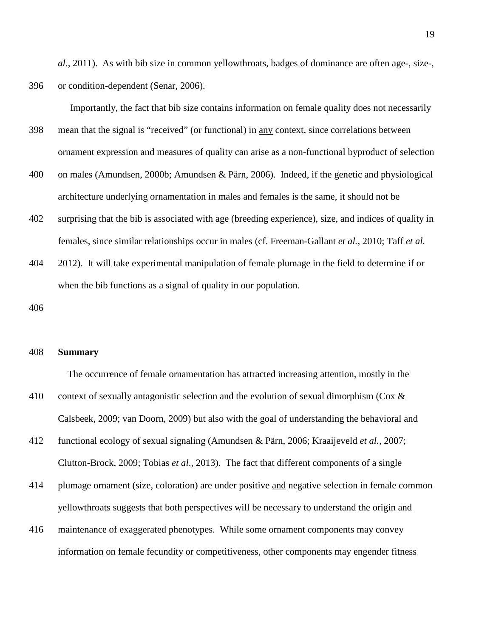*al*., 2011). As with bib size in common yellowthroats, badges of dominance are often age-, size-, 396 or condition-dependent (Senar, 2006).

Importantly, the fact that bib size contains information on female quality does not necessarily

- 398 mean that the signal is "received" (or functional) in any context, since correlations between ornament expression and measures of quality can arise as a non-functional byproduct of selection
- 400 on males (Amundsen, 2000b; Amundsen & Pärn, 2006). Indeed, if the genetic and physiological architecture underlying ornamentation in males and females is the same, it should not be
- 402 surprising that the bib is associated with age (breeding experience), size, and indices of quality in females, since similar relationships occur in males (cf. Freeman-Gallant *et al.,* 2010; Taff *et al.*
- 404 2012). It will take experimental manipulation of female plumage in the field to determine if or when the bib functions as a signal of quality in our population.

406

#### 408 **Summary**

The occurrence of female ornamentation has attracted increasing attention, mostly in the 410 context of sexually antagonistic selection and the evolution of sexual dimorphism (Cox & Calsbeek, 2009; van Doorn, 2009) but also with the goal of understanding the behavioral and

- 412 functional ecology of sexual signaling (Amundsen & Pärn, 2006; Kraaijeveld *et al.,* 2007; Clutton-Brock, 2009; Tobias *et al*., 2013). The fact that different components of a single
- 414 plumage ornament (size, coloration) are under positive and negative selection in female common yellowthroats suggests that both perspectives will be necessary to understand the origin and
- 416 maintenance of exaggerated phenotypes. While some ornament components may convey information on female fecundity or competitiveness, other components may engender fitness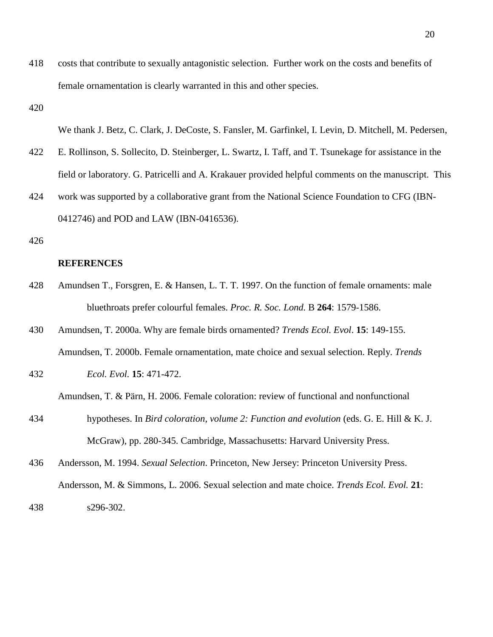418 costs that contribute to sexually antagonistic selection. Further work on the costs and benefits of female ornamentation is clearly warranted in this and other species.

420

We thank J. Betz, C. Clark, J. DeCoste, S. Fansler, M. Garfinkel, I. Levin, D. Mitchell, M. Pedersen,

- 422 E. Rollinson, S. Sollecito, D. Steinberger, L. Swartz, I. Taff, and T. Tsunekage for assistance in the field or laboratory. G. Patricelli and A. Krakauer provided helpful comments on the manuscript. This
- 424 work was supported by a collaborative grant from the National Science Foundation to CFG (IBN-0412746) and POD and LAW (IBN-0416536).
- 426

#### **REFERENCES**

- 428 Amundsen T., Forsgren, E. & Hansen, L. T. T. 1997. On the function of female ornaments: male bluethroats prefer colourful females. *Proc. R. Soc. Lond.* B **264**: 1579-1586.
- 430 Amundsen, T. 2000a. Why are female birds ornamented? *Trends Ecol. Evol*. **15**: 149-155. Amundsen, T. 2000b. Female ornamentation, mate choice and sexual selection. Reply. *Trends*
- 432 *Ecol. Evol.* **15**: 471-472.

Amundsen, T. & Pärn, H. 2006. Female coloration: review of functional and nonfunctional

- 434 hypotheses. In *Bird coloration, volume 2: Function and evolution* (eds. G. E. Hill & K. J. McGraw), pp. 280-345. Cambridge, Massachusetts: Harvard University Press.
- 436 Andersson, M. 1994. *Sexual Selection*. Princeton, New Jersey: Princeton University Press. Andersson, M. & Simmons, L. 2006. Sexual selection and mate choice. *Trends Ecol. Evol.* **21**: 438 s296-302.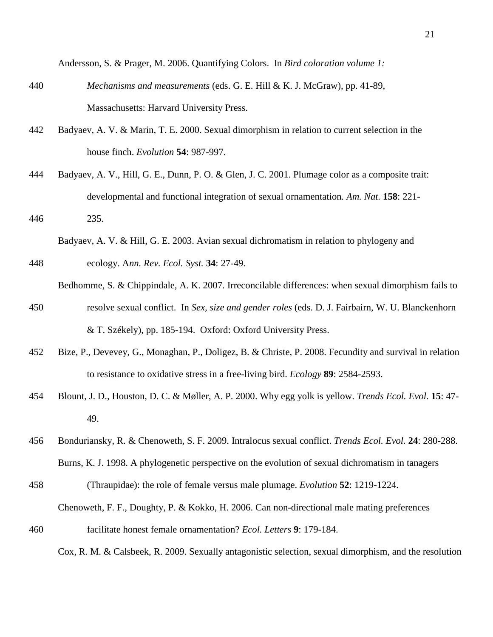Andersson, S. & Prager, M. 2006. Quantifying Colors. In *Bird coloration volume 1:* 

- 440 *Mechanisms and measurements* (eds. G. E. Hill & K. J. McGraw), pp. 41-89, Massachusetts: Harvard University Press.
- 442 Badyaev, A. V. & Marin, T. E. 2000. Sexual dimorphism in relation to current selection in the house finch. *Evolution* **54**: 987-997.
- 444 Badyaev, A. V., Hill, G. E., Dunn, P. O. & Glen, J. C. 2001. Plumage color as a composite trait: developmental and functional integration of sexual ornamentation*. Am. Nat.* **158**: 221-
- 446 235.

Badyaev, A. V. & Hill, G. E. 2003. Avian sexual dichromatism in relation to phylogeny and

- 448 ecology. A*nn. Rev. Ecol. Syst.* **34**: 27-49.
- Bedhomme, S. & Chippindale, A. K. 2007. Irreconcilable differences: when sexual dimorphism fails to 450 resolve sexual conflict. In *Sex, size and gender roles* (eds. D. J. Fairbairn, W. U. Blanckenhorn & T. Székely), pp. 185-194. Oxford: Oxford University Press.
- 452 Bize, P., Devevey, G., Monaghan, P., Doligez, B. & Christe, P. 2008. Fecundity and survival in relation to resistance to oxidative stress in a free-living bird. *Ecology* **89**: 2584-2593.
- 454 Blount, J. D., Houston, D. C. & Møller, A. P. 2000. Why egg yolk is yellow. *Trends Ecol. Evol*. **15**: 47- 49.
- 456 Bonduriansky, R. & Chenoweth, S. F. 2009. Intralocus sexual conflict. *Trends Ecol. Evol.* **24**: 280-288. Burns, K. J. 1998. A phylogenetic perspective on the evolution of sexual dichromatism in tanagers
- 458 (Thraupidae): the role of female versus male plumage. *Evolution* **52**: 1219-1224. Chenoweth, F. F., Doughty, P. & Kokko, H. 2006. Can non-directional male mating preferences
- 460 facilitate honest female ornamentation? *Ecol. Letters* **9**: 179-184.

Cox, R. M. & Calsbeek, R. 2009. Sexually antagonistic selection, sexual dimorphism, and the resolution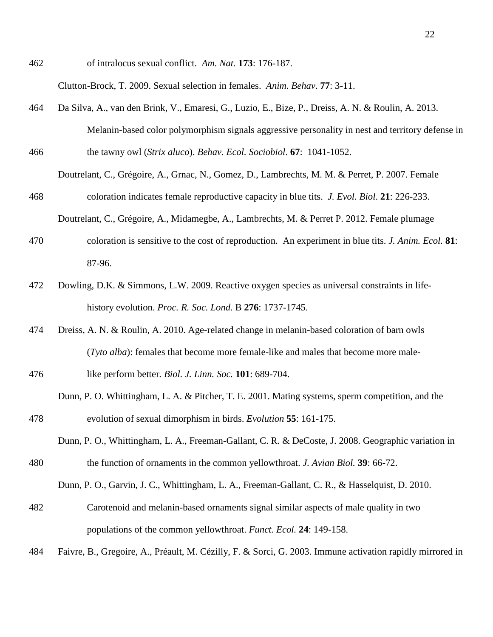462 of intralocus sexual conflict. *Am. Nat.* **173**: 176-187.

Clutton-Brock, T. 2009. Sexual selection in females. *Anim. Behav*. **77**: 3-11.

- 464 Da Silva, A., van den Brink, V., Emaresi, G., Luzio, E., Bize, P., Dreiss, A. N. & Roulin, A. 2013. Melanin-based color polymorphism signals aggressive personality in nest and territory defense in 466 the tawny owl (*Strix aluco*). *Behav. Ecol. Sociobiol*. **67**: 1041-1052.
- Doutrelant, C., Grégoire, A., Grnac, N., Gomez, D., Lambrechts, M. M. & Perret, P. 2007. Female 468 coloration indicates female reproductive capacity in blue tits. *J. Evol. Biol*. **21**: 226-233.
	- Doutrelant, C., Grégoire, A., Midamegbe, A., Lambrechts, M. & Perret P. 2012. Female plumage
- 470 coloration is sensitive to the cost of reproduction. An experiment in blue tits. *J. Anim. Ecol.* **81**: 87-96.
- 472 Dowling, D.K. & Simmons, L.W. 2009. Reactive oxygen species as universal constraints in lifehistory evolution. *Proc. R. Soc. Lond.* B **276**: 1737-1745.
- 474 Dreiss, A. N. & Roulin, A. 2010. Age-related change in melanin-based coloration of barn owls (*Tyto alba*): females that become more female-like and males that become more male-
- 476 like perform better*. Biol. J. Linn. Soc.* **101**: 689-704.
- Dunn, P. O. Whittingham, L. A. & Pitcher, T. E. 2001. Mating systems, sperm competition, and the 478 evolution of sexual dimorphism in birds. *Evolution* **55**: 161-175.
- Dunn, P. O., Whittingham, L. A., Freeman-Gallant, C. R. & DeCoste, J. 2008. Geographic variation in 480 the function of ornaments in the common yellowthroat. *J. Avian Biol.* **39**: 66-72.

Dunn, P. O., Garvin, J. C., Whittingham, L. A., Freeman-Gallant, C. R., & Hasselquist, D. 2010.

- 482 Carotenoid and melanin-based ornaments signal similar aspects of male quality in two populations of the common yellowthroat. *Funct. Ecol.* **24**: 149-158.
- 484 Faivre, B., Gregoire, A., Préault, M. Cézilly, F. & Sorci, G. 2003. Immune activation rapidly mirrored in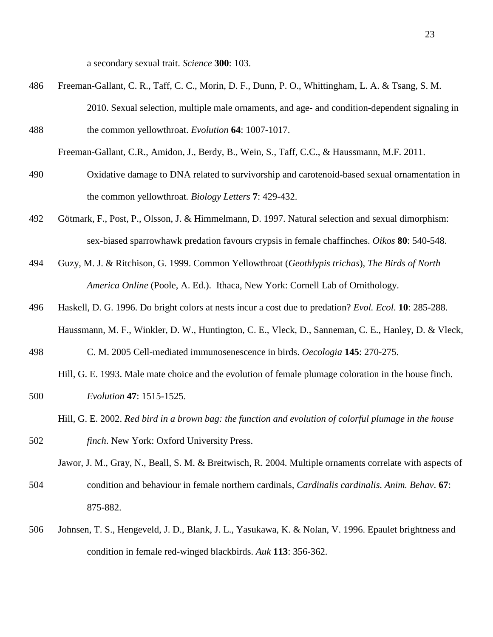a secondary sexual trait. *Science* **300**: 103.

486 Freeman-Gallant, C. R., Taff, C. C., Morin, D. F., Dunn, P. O., Whittingham, L. A. & Tsang, S. M. 2010. Sexual selection, multiple male ornaments, and age- and condition-dependent signaling in 488 the common yellowthroat. *Evolution* **64**: 1007-1017.

Freeman-Gallant, C.R., Amidon, J., Berdy, B., Wein, S., Taff, C.C., & Haussmann, M.F. 2011.

- 490 Oxidative damage to DNA related to survivorship and carotenoid-based sexual ornamentation in the common yellowthroat*. Biology Letters* **7**: 429-432.
- 492 Götmark, F., Post, P., Olsson, J. & Himmelmann, D. 1997. Natural selection and sexual dimorphism: sex-biased sparrowhawk predation favours crypsis in female chaffinches. *Oikos* **80**: 540-548.
- 494 Guzy, M. J. & Ritchison, G. 1999. Common Yellowthroat (*Geothlypis trichas*), *The Birds of North America Online* (Poole, A. Ed.). Ithaca, New York: Cornell Lab of Ornithology.
- 496 Haskell, D. G. 1996. Do bright colors at nests incur a cost due to predation? *Evol. Ecol*. **10**: 285-288. Haussmann, M. F., Winkler, D. W., Huntington, C. E., Vleck, D., Sanneman, C. E., Hanley, D. & Vleck,
- 498 C. M. 2005 Cell-mediated immunosenescence in birds. *Oecologia* **145**: 270-275.

Hill, G. E. 1993. Male mate choice and the evolution of female plumage coloration in the house finch.

- 500 *Evolution* **47**: 1515-1525.
	- Hill, G. E. 2002. *Red bird in a brown bag: the function and evolution of colorful plumage in the house*
- 502 *finch*. New York: Oxford University Press.

Jawor, J. M., Gray, N., Beall, S. M. & Breitwisch, R. 2004. Multiple ornaments correlate with aspects of 504 condition and behaviour in female northern cardinals, *Cardinalis cardinalis*. *Anim. Behav*. **67**: 875-882.

506 Johnsen, T. S., Hengeveld, J. D., Blank, J. L., Yasukawa, K. & Nolan, V. 1996. Epaulet brightness and condition in female red-winged blackbirds. *Auk* **113**: 356-362.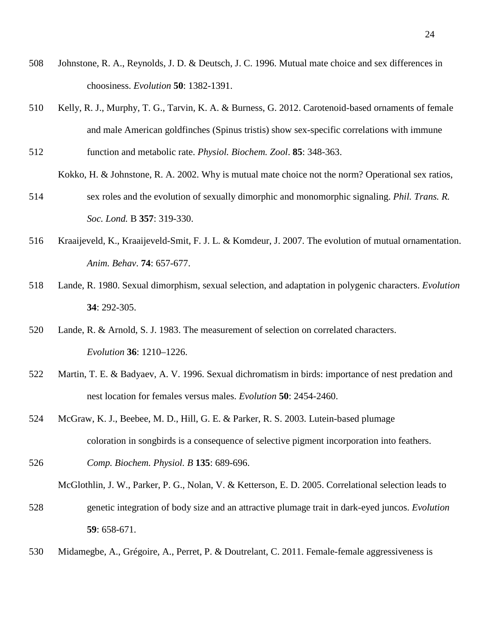- Johnstone, R. A., Reynolds, J. D. & Deutsch, J. C. 1996. Mutual mate choice and sex differences in choosiness. *Evolution* **50**: 1382-1391.
- Kelly, R. J., Murphy, T. G., Tarvin, K. A. & Burness, G. 2012. Carotenoid-based ornaments of female and male American goldfinches (Spinus tristis) show sex-specific correlations with immune
- function and metabolic rate. *Physiol. Biochem. Zool*. **85**: 348-363. Kokko, H. & Johnstone, R. A. 2002. Why is mutual mate choice not the norm? Operational sex ratios,
- sex roles and the evolution of sexually dimorphic and monomorphic signaling. *Phil. Trans. R. Soc. Lond.* B **357**: 319-330.
- Kraaijeveld, K., Kraaijeveld-Smit, F. J. L. & Komdeur, J. 2007. The evolution of mutual ornamentation. *Anim. Behav*. **74**: 657-677.
- Lande, R. 1980. Sexual dimorphism, sexual selection, and adaptation in polygenic characters. *Evolution* : 292-305.
- Lande, R. & Arnold, S. J. 1983. The measurement of selection on correlated characters. *Evolution* **36**: 1210–1226.
- Martin, T. E. & Badyaev, A. V. 1996. Sexual dichromatism in birds: importance of nest predation and nest location for females versus males. *Evolution* **50**: 2454-2460.
- McGraw, K. J., Beebee, M. D., Hill, G. E. & Parker, R. S. 2003. Lutein-based plumage coloration in songbirds is a consequence of selective pigment incorporation into feathers.
- *Comp. Biochem. Physiol. B* **135**: 689-696.

McGlothlin, J. W., Parker, P. G., Nolan, V. & Ketterson, E. D. 2005. Correlational selection leads to

- genetic integration of body size and an attractive plumage trait in dark-eyed juncos. *Evolution* : 658-671.
- Midamegbe, A., Grégoire, A., Perret, P. & Doutrelant, C. 2011. Female-female aggressiveness is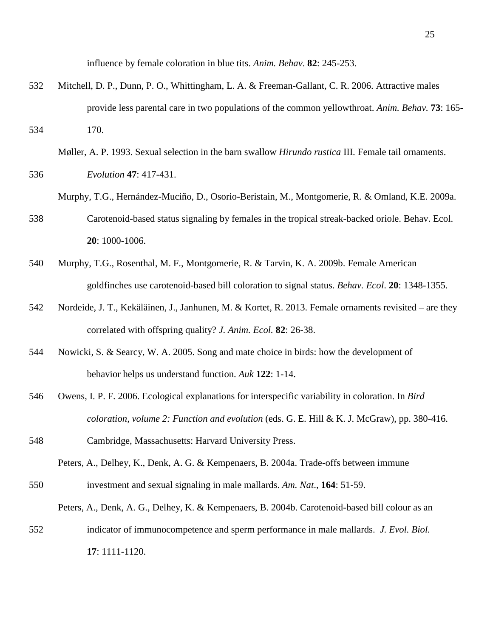influence by female coloration in blue tits. *Anim. Behav*. **82**: 245-253.

532 Mitchell, D. P., Dunn, P. O., Whittingham, L. A. & Freeman-Gallant, C. R. 2006. Attractive males provide less parental care in two populations of the common yellowthroat. *Anim. Behav.* **73**: 165- 534 170.

Møller, A. P. 1993. Sexual selection in the barn swallow *Hirundo rustica* III. Female tail ornaments. 536 *Evolution* **47**: 417-431.

- Murphy, T.G., Hernández-Muciño, D., Osorio-Beristain, M., Montgomerie, R. & Omland, K.E. 2009a.
- 538 Carotenoid-based status signaling by females in the tropical streak-backed oriole. Behav. Ecol. **20**: 1000-1006.
- 540 Murphy, T.G., Rosenthal, M. F., Montgomerie, R. & Tarvin, K. A. 2009b. Female American goldfinches use carotenoid-based bill coloration to signal status. *Behav. Ecol*. **20**: 1348-1355.
- 542 Nordeide, J. T., Kekäläinen, J., Janhunen, M. & Kortet, R. 2013. Female ornaments revisited are they correlated with offspring quality? *J. Anim. Ecol.* **82**: 26-38.
- 544 Nowicki, S. & Searcy, W. A. 2005. Song and mate choice in birds: how the development of behavior helps us understand function. *Auk* **122**: 1-14.
- 546 Owens, I. P. F. 2006. Ecological explanations for interspecific variability in coloration. In *Bird coloration, volume 2: Function and evolution* (eds. G. E. Hill & K. J. McGraw), pp. 380-416.

548 Cambridge, Massachusetts: Harvard University Press.

Peters, A., Delhey, K., Denk, A. G. & Kempenaers, B. 2004a. Trade-offs between immune 550 investment and sexual signaling in male mallards. *Am. Nat*., **164**: 51-59.

Peters, A., Denk, A. G., Delhey, K. & Kempenaers, B. 2004b. Carotenoid-based bill colour as an

552 indicator of immunocompetence and sperm performance in male mallards. *J. Evol. Biol.* **17**: 1111-1120.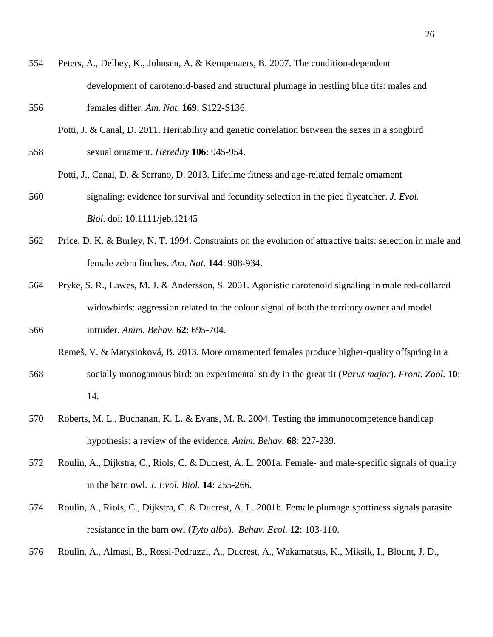- 554 Peters, A., Delhey, K., Johnsen, A. & Kempenaers, B. 2007. The condition-dependent development of carotenoid-based and structural plumage in nestling blue tits: males and 556 females differ. *Am. Nat.* **169**: S122-S136.
- Potti, J. & Canal, D. 2011. Heritability and genetic correlation between the sexes in a songbird 558 sexual ornament. *Heredity* **106**: 945-954.
	- Potti, J., Canal, D. & Serrano, D. 2013. Lifetime fitness and age-related female ornament
- 560 signaling: evidence for survival and fecundity selection in the pied flycatcher. *J. Evol. Biol.* doi: 10.1111/jeb.12145
- 562 Price, D. K. & Burley, N. T. 1994. Constraints on the evolution of attractive traits: selection in male and female zebra finches. *Am. Nat*. **144**: 908-934.
- 564 Pryke, S. R., Lawes, M. J. & Andersson, S. 2001. Agonistic carotenoid signaling in male red-collared widowbirds: aggression related to the colour signal of both the territory owner and model 566 intruder. *Anim. Behav*. **62**: 695-704.
	- Remeš, V. & Matysioková, B. 2013. More ornamented females produce higher-quality offspring in a
- 568 socially monogamous bird: an experimental study in the great tit (*Parus major*). *Front. Zool.* **10**: 14.
- 570 Roberts, M. L., Buchanan, K. L. & Evans, M. R. 2004. Testing the immunocompetence handicap hypothesis: a review of the evidence. *Anim. Behav*. **68**: 227-239.
- 572 Roulin, A., Dijkstra, C., Riols, C. & Ducrest, A. L. 2001a. Female- and male-specific signals of quality in the barn owl. *J. Evol. Biol.* **14**: 255-266.
- 574 Roulin, A., Riols, C., Dijkstra, C. & Ducrest, A. L. 2001b. Female plumage spottiness signals parasite resistance in the barn owl (*Tyto alba*). *Behav. Ecol.* **12**: 103-110.
- 576 Roulin, A., Almasi, B., Rossi-Pedruzzi, A., Ducrest, A., Wakamatsus, K., Miksik, I., Blount, J. D.,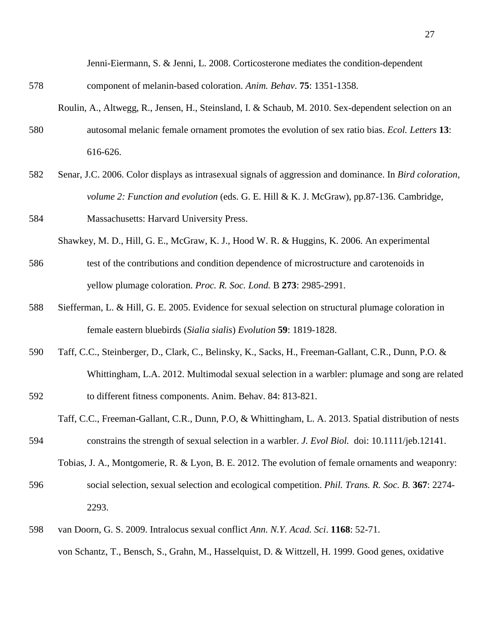Jenni-Eiermann, S. & Jenni, L. 2008. Corticosterone mediates the condition-dependent

- 578 component of melanin-based coloration. *Anim. Behav*. **75**: 1351-1358.
- Roulin, A., Altwegg, R., Jensen, H., Steinsland, I. & Schaub, M. 2010. Sex-dependent selection on an 580 autosomal melanic female ornament promotes the evolution of sex ratio bias. *Ecol. Letters* **13**: 616-626.
- 582 Senar, J.C. 2006. Color displays as intrasexual signals of aggression and dominance. In *Bird coloration, volume 2: Function and evolution* (eds. G. E. Hill & K. J. McGraw), pp.87-136. Cambridge,

584 Massachusetts: Harvard University Press.

Shawkey, M. D., Hill, G. E., McGraw, K. J., Hood W. R. & Huggins, K. 2006. An experimental

- 586 test of the contributions and condition dependence of microstructure and carotenoids in yellow plumage coloration. *Proc. R. Soc. Lond.* B **273**: 2985-2991.
- 588 Siefferman, L. & Hill, G. E. 2005. Evidence for sexual selection on structural plumage coloration in female eastern bluebirds (*Sialia sialis*) *Evolution* **59**: 1819-1828.
- 590 Taff, C.C., Steinberger, D., Clark, C., Belinsky, K., Sacks, H., Freeman-Gallant, C.R., Dunn, P.O. & Whittingham, L.A. 2012. Multimodal sexual selection in a warbler: plumage and song are related 592 to different fitness components. Anim. Behav. 84: 813-821.
- Taff, C.C., Freeman-Gallant, C.R., Dunn, P.O, & Whittingham, L. A. 2013. Spatial distribution of nests 594 constrains the strength of sexual selection in a warbler. *J. Evol Biol.* doi: 10.1111/jeb.12141.

Tobias, J. A., Montgomerie, R. & Lyon, B. E. 2012. The evolution of female ornaments and weaponry:

- 596 social selection, sexual selection and ecological competition. *Phil. Trans. R. Soc. B.* **367**: 2274- 2293.
- 598 van Doorn, G. S. 2009. Intralocus sexual conflict *Ann. N.Y. Acad. Sci*. **1168**: 52-71. von Schantz, T., Bensch, S., Grahn, M., Hasselquist, D. & Wittzell, H. 1999. Good genes, oxidative